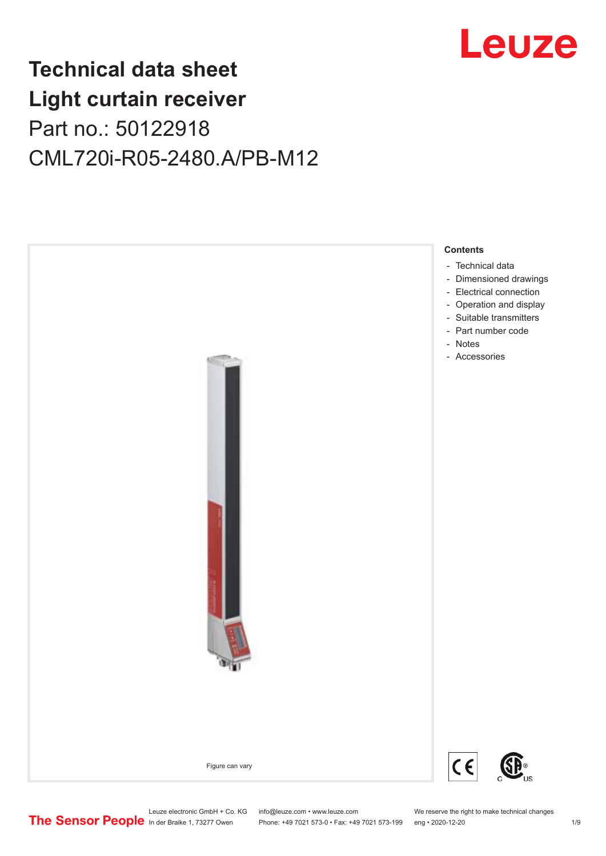

# **Technical data sheet Light curtain receiver** Part no.: 50122918 CML720i-R05-2480.A/PB-M12



Leuze electronic GmbH + Co. KG info@leuze.com • www.leuze.com We reserve the right to make technical changes<br>
The Sensor People in der Braike 1, 73277 Owen Phone: +49 7021 573-0 • Fax: +49 7021 573-199 eng • 2020-12-20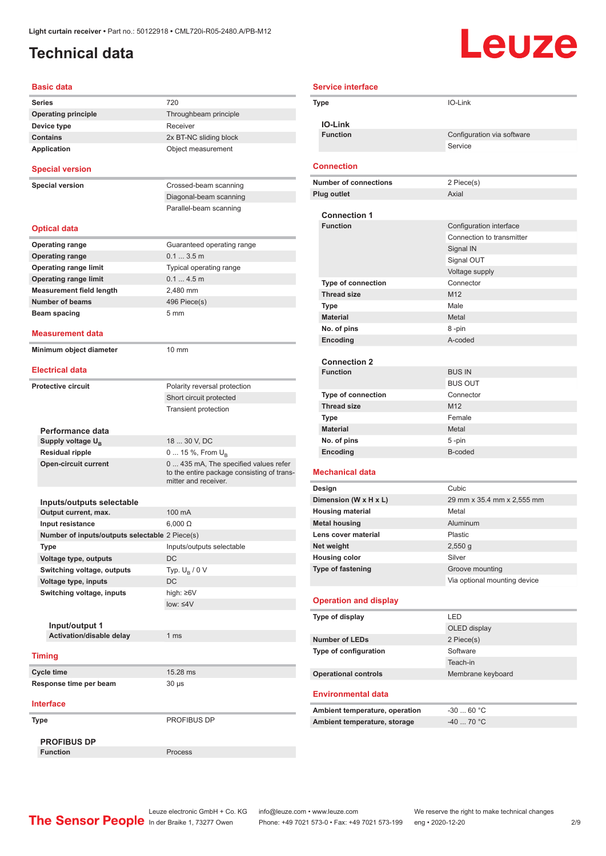### <span id="page-1-0"></span>**Technical data**

# Leuze

| <b>Basic data</b>                              |                                                                                                             |
|------------------------------------------------|-------------------------------------------------------------------------------------------------------------|
| <b>Series</b>                                  | 720                                                                                                         |
| <b>Operating principle</b>                     | Throughbeam principle                                                                                       |
| Device type                                    | Receiver                                                                                                    |
| <b>Contains</b>                                | 2x BT-NC sliding block                                                                                      |
| <b>Application</b>                             | Object measurement                                                                                          |
| <b>Special version</b>                         |                                                                                                             |
| <b>Special version</b>                         | Crossed-beam scanning                                                                                       |
|                                                | Diagonal-beam scanning                                                                                      |
|                                                | Parallel-beam scanning                                                                                      |
| <b>Optical data</b>                            |                                                                                                             |
| <b>Operating range</b>                         | Guaranteed operating range                                                                                  |
| <b>Operating range</b>                         | $0.13.5$ m                                                                                                  |
| <b>Operating range limit</b>                   | Typical operating range                                                                                     |
| <b>Operating range limit</b>                   | 0.14.5m                                                                                                     |
| <b>Measurement field length</b>                | 2,480 mm                                                                                                    |
| <b>Number of beams</b>                         | 496 Piece(s)                                                                                                |
| Beam spacing                                   | 5 <sub>mm</sub>                                                                                             |
| <b>Measurement data</b>                        |                                                                                                             |
| Minimum object diameter                        | $10 \text{ mm}$                                                                                             |
| <b>Electrical data</b>                         |                                                                                                             |
| <b>Protective circuit</b>                      | Polarity reversal protection                                                                                |
|                                                | Short circuit protected                                                                                     |
|                                                | <b>Transient protection</b>                                                                                 |
|                                                |                                                                                                             |
| Performance data                               |                                                                                                             |
| Supply voltage $U_{B}$                         | 18  30 V, DC                                                                                                |
| <b>Residual ripple</b>                         | 0  15 %, From $U_{\rm B}$                                                                                   |
| <b>Open-circuit current</b>                    | 0  435 mA, The specified values refer<br>to the entire package consisting of trans-<br>mitter and receiver. |
|                                                |                                                                                                             |
| Inputs/outputs selectable                      |                                                                                                             |
| Output current, max.                           | 100 mA                                                                                                      |
| Input resistance                               | $6,000 \Omega$                                                                                              |
| Number of inputs/outputs selectable 2 Piece(s) |                                                                                                             |
| Type                                           | Inputs/outputs selectable                                                                                   |
| Voltage type, outputs                          | DC                                                                                                          |
| Switching voltage, outputs                     | Typ. $U_R / 0 V$                                                                                            |
| Voltage type, inputs                           | DC                                                                                                          |
| Switching voltage, inputs                      | high: ≥6V                                                                                                   |
|                                                | $low: 4V$                                                                                                   |
|                                                |                                                                                                             |
| Input/output 1<br>Activation/disable delay     | 1 <sub>ms</sub>                                                                                             |
|                                                |                                                                                                             |
| <b>Timing</b>                                  |                                                                                                             |
| Cycle time                                     | 15.28 ms                                                                                                    |
| Response time per beam                         | 30 µs                                                                                                       |
| <b>Interface</b>                               |                                                                                                             |
| Type                                           | PROFIBUS DP                                                                                                 |
| <b>PROFIBUS DP</b>                             |                                                                                                             |
| <b>Function</b>                                | Process                                                                                                     |

|        | <b>Service interface</b>                        |                                                      |  |
|--------|-------------------------------------------------|------------------------------------------------------|--|
|        | Type                                            | IO-Link                                              |  |
|        |                                                 |                                                      |  |
|        | <b>IO-Link</b>                                  |                                                      |  |
|        | <b>Function</b>                                 | Configuration via software                           |  |
|        |                                                 | Service                                              |  |
|        | <b>Connection</b>                               |                                                      |  |
|        | <b>Number of connections</b>                    | 2 Piece(s)                                           |  |
|        | <b>Plug outlet</b>                              | Axial                                                |  |
|        |                                                 |                                                      |  |
|        | <b>Connection 1</b><br><b>Function</b>          |                                                      |  |
|        |                                                 | Configuration interface<br>Connection to transmitter |  |
|        |                                                 | Signal IN                                            |  |
|        |                                                 | Signal OUT                                           |  |
|        |                                                 | Voltage supply                                       |  |
|        | <b>Type of connection</b>                       | Connector                                            |  |
|        | <b>Thread size</b>                              | M <sub>12</sub>                                      |  |
|        | Type                                            | Male                                                 |  |
|        | <b>Material</b>                                 | Metal                                                |  |
|        | No. of pins                                     | 8-pin                                                |  |
|        | Encoding                                        | A-coded                                              |  |
|        |                                                 |                                                      |  |
|        | <b>Connection 2</b>                             |                                                      |  |
|        | <b>Function</b>                                 | <b>BUS IN</b>                                        |  |
|        |                                                 | <b>BUS OUT</b>                                       |  |
|        | <b>Type of connection</b><br><b>Thread size</b> | Connector<br>M <sub>12</sub>                         |  |
|        | Type                                            | Female                                               |  |
|        | <b>Material</b>                                 | Metal                                                |  |
|        | No. of pins                                     | 5-pin                                                |  |
|        | Encoding                                        | B-coded                                              |  |
|        |                                                 |                                                      |  |
|        | Mechanical data                                 |                                                      |  |
| Design |                                                 | Cubic                                                |  |
|        | Dimension (W x H x L)                           | 29 mm x 35.4 mm x 2,555 mm                           |  |
|        | <b>Housing material</b><br><b>Metal housing</b> | Metal<br>Aluminum                                    |  |
|        | Lens cover material                             | Plastic                                              |  |
|        | Net weight                                      | $2,550$ g                                            |  |
|        | <b>Housing color</b>                            | Silver                                               |  |
|        | Type of fastening                               | Groove mounting                                      |  |
|        |                                                 | Via optional mounting device                         |  |
|        |                                                 |                                                      |  |
|        | <b>Operation and display</b>                    |                                                      |  |
|        | Type of display                                 | LED                                                  |  |
|        |                                                 | OLED display                                         |  |
|        | <b>Number of LEDs</b>                           | 2 Piece(s)                                           |  |
|        | Type of configuration                           | Software<br>Teach-in                                 |  |
|        |                                                 |                                                      |  |
|        | <b>Operational controls</b>                     | Membrane keyboard                                    |  |
|        | <b>Environmental data</b>                       |                                                      |  |
|        | Ambient temperature, operation                  | $-3060 °C$                                           |  |
|        | Ambient temperature, storage                    | $-40$ 70 °C                                          |  |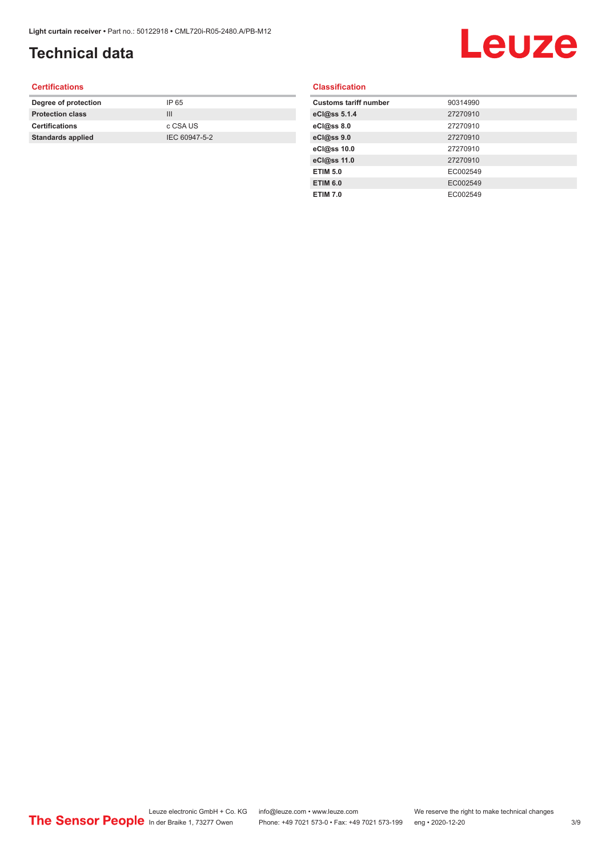## **Technical data**

# Leuze

#### **Certifications**

| Degree of protection     | IP 65         |
|--------------------------|---------------|
| <b>Protection class</b>  | Ш             |
| <b>Certifications</b>    | c CSA US      |
| <b>Standards applied</b> | IEC 60947-5-2 |
|                          |               |

#### **Classification**

| <b>Customs tariff number</b> | 90314990 |
|------------------------------|----------|
| eCl@ss 5.1.4                 | 27270910 |
| eCl@ss 8.0                   | 27270910 |
| eCl@ss 9.0                   | 27270910 |
| eCl@ss 10.0                  | 27270910 |
| eCl@ss 11.0                  | 27270910 |
| <b>ETIM 5.0</b>              | EC002549 |
| <b>ETIM 6.0</b>              | EC002549 |
| <b>ETIM 7.0</b>              | EC002549 |
|                              |          |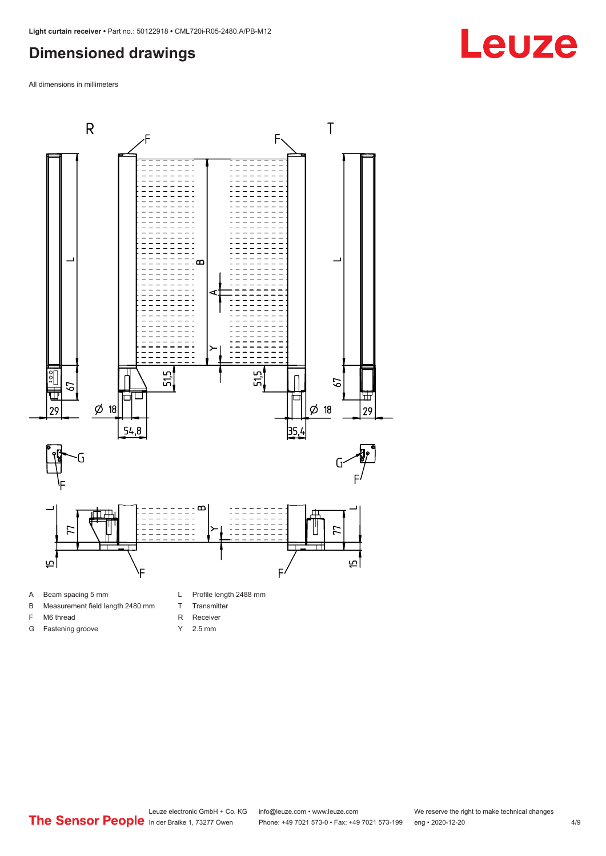#### <span id="page-3-0"></span>**Dimensioned drawings**

All dimensions in millimeters



- A Beam spacing 5 mm
- B Measurement field length 2480 mm
- F M6 thread
- G Fastening groove
- L Profile length 2488 mm
- T Transmitter
- R Receiver
- Y 2.5 mm

# **Leuze**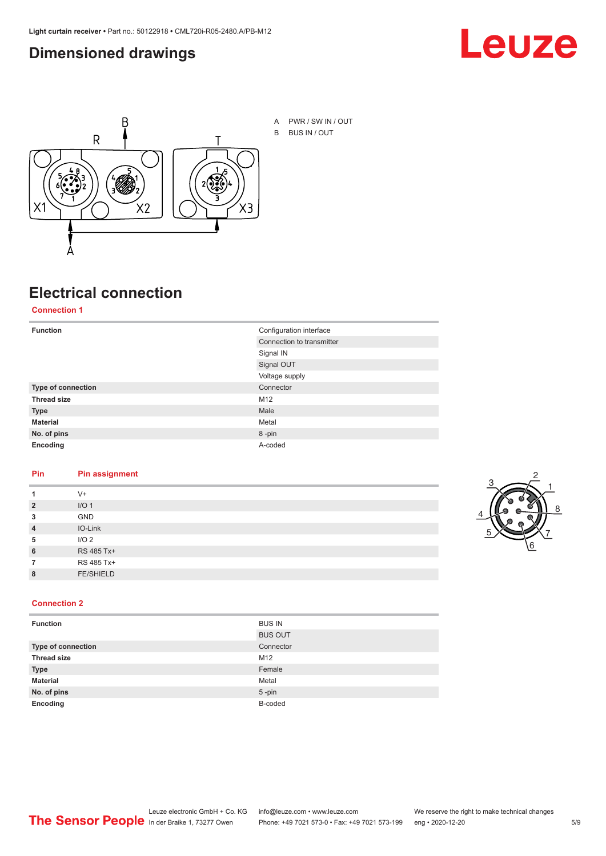#### <span id="page-4-0"></span>**Dimensioned drawings**





# **Electrical connection**

**Connection 1**

| <b>Function</b>    | Configuration interface   |
|--------------------|---------------------------|
|                    | Connection to transmitter |
|                    | Signal IN                 |
|                    | Signal OUT                |
|                    | Voltage supply            |
| Type of connection | Connector                 |
| <b>Thread size</b> | M12                       |
| <b>Type</b>        | Male                      |
| <b>Material</b>    | Metal                     |
| No. of pins        | 8-pin                     |
| Encoding           | A-coded                   |

#### **Pin Pin assignment**

|                | $V +$            |  |  |
|----------------|------------------|--|--|
| $\overline{2}$ | I/O <sub>1</sub> |  |  |
| 3              | <b>GND</b>       |  |  |
| $\overline{4}$ | IO-Link          |  |  |
| 5              | I/O <sub>2</sub> |  |  |
| 6              | RS 485 Tx+       |  |  |
|                | RS 485 Tx+       |  |  |
| 8              | <b>FE/SHIELD</b> |  |  |
|                |                  |  |  |



#### **Connection 2**

| <b>Function</b>    | <b>BUS IN</b>  |
|--------------------|----------------|
|                    | <b>BUS OUT</b> |
| Type of connection | Connector      |
| <b>Thread size</b> | M12            |
| <b>Type</b>        | Female         |
| <b>Material</b>    | Metal          |
| No. of pins        | $5$ -pin       |
| Encoding           | B-coded        |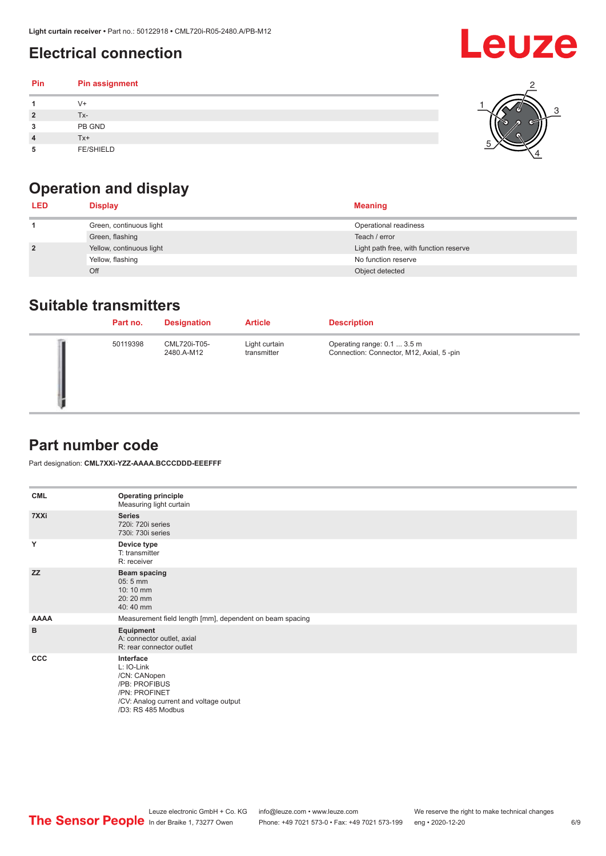### <span id="page-5-0"></span>**Electrical connection**

#### **Pin Pin assignment 1** V+ **2** Tx-**3** PB GND **4** Tx+ **5** FE/SHIELD 3 2 1 5 4



| <b>LED</b>     | <b>Display</b>           | <b>Meaning</b>                         |
|----------------|--------------------------|----------------------------------------|
|                | Green, continuous light  | Operational readiness                  |
|                | Green, flashing          | Teach / error                          |
| $\overline{2}$ | Yellow, continuous light | Light path free, with function reserve |
|                | Yellow, flashing         | No function reserve                    |
|                | Off                      | Object detected                        |

#### **Suitable transmitters**

| Part no. | <b>Designation</b>         | <b>Article</b>               | <b>Description</b>                                                      |
|----------|----------------------------|------------------------------|-------------------------------------------------------------------------|
| 50119398 | CML720i-T05-<br>2480.A-M12 | Light curtain<br>transmitter | Operating range: 0.1  3.5 m<br>Connection: Connector, M12, Axial, 5-pin |

### **Part number code**

Part designation: **CML7XXi-YZZ-AAAA.BCCCDDD-EEEFFF**

| <b>CML</b>   | <b>Operating principle</b><br>Measuring light curtain                                                                                     |
|--------------|-------------------------------------------------------------------------------------------------------------------------------------------|
| 7XXi         | <b>Series</b><br>720i: 720i series<br>730i: 730i series                                                                                   |
| Y            | Device type<br>T: transmitter<br>R: receiver                                                                                              |
| <b>ZZ</b>    | <b>Beam spacing</b><br>$05:5$ mm<br>10:10 mm<br>20:20 mm<br>40:40 mm                                                                      |
| <b>AAAA</b>  | Measurement field length [mm], dependent on beam spacing                                                                                  |
| B            | Equipment<br>A: connector outlet, axial<br>R: rear connector outlet                                                                       |
| $_{\rm ccc}$ | Interface<br>L: IO-Link<br>/CN: CANopen<br>/PB: PROFIBUS<br>/PN: PROFINET<br>/CV: Analog current and voltage output<br>/D3: RS 485 Modbus |

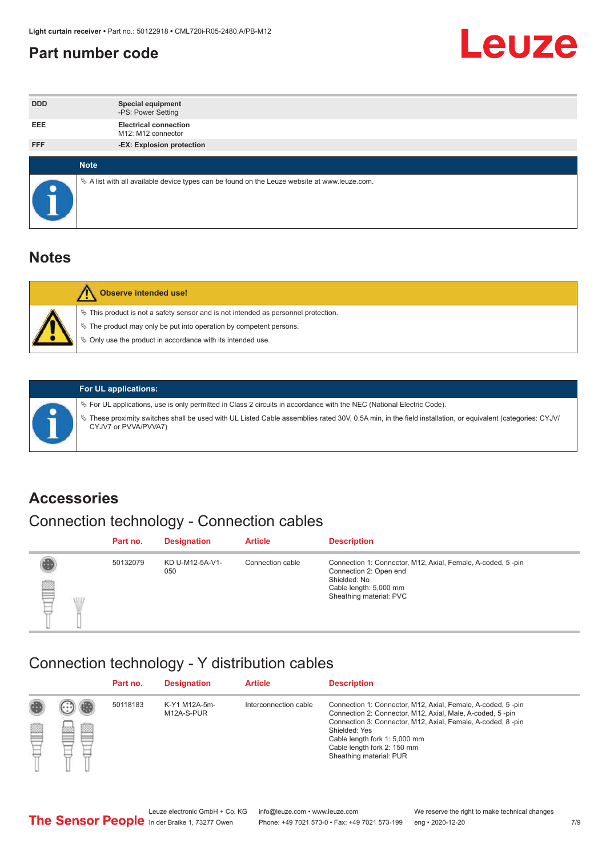#### <span id="page-6-0"></span>**Part number code**



| <b>DDD</b> | <b>Special equipment</b><br>-PS: Power Setting                                                  |
|------------|-------------------------------------------------------------------------------------------------|
| <b>EEE</b> | <b>Electrical connection</b><br>M12: M12 connector                                              |
| <b>FFF</b> | -EX: Explosion protection                                                                       |
|            |                                                                                                 |
|            | <b>Note</b>                                                                                     |
|            | $\&$ A list with all available device types can be found on the Leuze website at www.leuze.com. |

#### **Notes**

| <b>Observe intended use!</b>                                                                                                                                                                                                  |
|-------------------------------------------------------------------------------------------------------------------------------------------------------------------------------------------------------------------------------|
| $\%$ This product is not a safety sensor and is not intended as personnel protection.<br>$\%$ The product may only be put into operation by competent persons.<br>♦ Only use the product in accordance with its intended use. |



#### **For UL applications:**

ª For UL applications, use is only permitted in Class 2 circuits in accordance with the NEC (National Electric Code). ª These proximity switches shall be used with UL Listed Cable assemblies rated 30V, 0.5A min, in the field installation, or equivalent (categories: CYJV/ CYJV7 or PVVA/PVVA7)

#### **Accessories**

### Connection technology - Connection cables

|        | Part no. | <b>Designation</b>     | <b>Article</b>   | <b>Description</b>                                                                                                                                         |
|--------|----------|------------------------|------------------|------------------------------------------------------------------------------------------------------------------------------------------------------------|
| 2<br>W | 50132079 | KD U-M12-5A-V1-<br>050 | Connection cable | Connection 1: Connector, M12, Axial, Female, A-coded, 5-pin<br>Connection 2: Open end<br>Shielded: No<br>Cable length: 5,000 mm<br>Sheathing material: PVC |

#### Connection technology - Y distribution cables

|        |   | Part no. | <b>Designation</b>          | <b>Article</b>        | <b>Description</b>                                                                                                                                                                                                                                                                                  |
|--------|---|----------|-----------------------------|-----------------------|-----------------------------------------------------------------------------------------------------------------------------------------------------------------------------------------------------------------------------------------------------------------------------------------------------|
| 圔<br>⋿ | Ø | 50118183 | K-Y1 M12A-5m-<br>M12A-S-PUR | Interconnection cable | Connection 1: Connector, M12, Axial, Female, A-coded, 5-pin<br>Connection 2: Connector, M12, Axial, Male, A-coded, 5-pin<br>Connection 3: Connector, M12, Axial, Female, A-coded, 8-pin<br>Shielded: Yes<br>Cable length fork 1: 5,000 mm<br>Cable length fork 2: 150 mm<br>Sheathing material: PUR |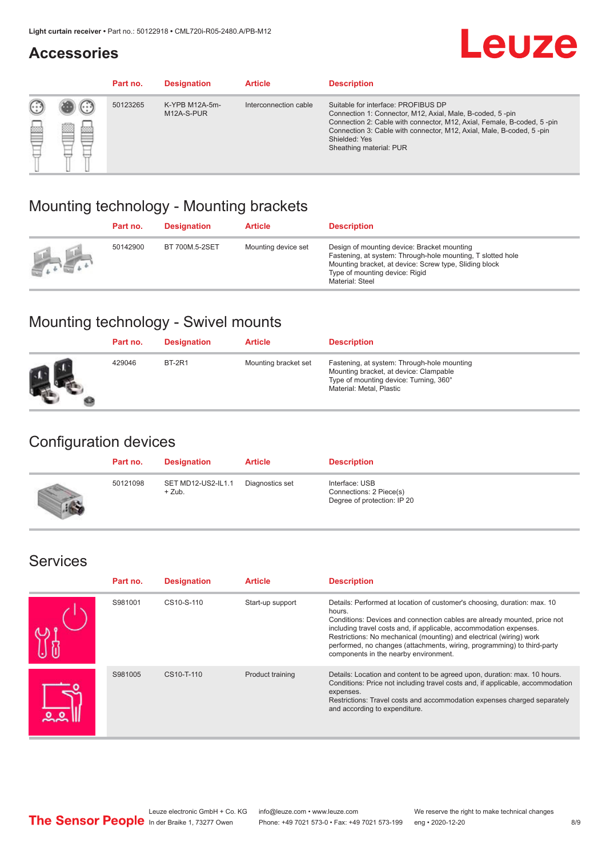#### **Accessories**

# **Leuze**

|   |        | Part no. | <b>Designation</b>           | <b>Article</b>        | <b>Description</b>                                                                                                                                                                                                                                                                             |
|---|--------|----------|------------------------------|-----------------------|------------------------------------------------------------------------------------------------------------------------------------------------------------------------------------------------------------------------------------------------------------------------------------------------|
| 您 | ×<br>一 | 50123265 | K-YPB M12A-5m-<br>M12A-S-PUR | Interconnection cable | Suitable for interface: PROFIBUS DP<br>Connection 1: Connector, M12, Axial, Male, B-coded, 5-pin<br>Connection 2: Cable with connector, M12, Axial, Female, B-coded, 5-pin<br>Connection 3: Cable with connector, M12, Axial, Male, B-coded, 5-pin<br>Shielded: Yes<br>Sheathing material: PUR |

### Mounting technology - Mounting brackets

|                                                 | Part no. | <b>Designation</b> | <b>Article</b>      | <b>Description</b>                                                                                                                                                                                                        |
|-------------------------------------------------|----------|--------------------|---------------------|---------------------------------------------------------------------------------------------------------------------------------------------------------------------------------------------------------------------------|
| $\frac{1}{2} \sum_{n=1}^{\infty} \frac{1}{n^2}$ | 50142900 | BT 700M.5-2SET     | Mounting device set | Design of mounting device: Bracket mounting<br>Fastening, at system: Through-hole mounting, T slotted hole<br>Mounting bracket, at device: Screw type, Sliding block<br>Type of mounting device: Rigid<br>Material: Steel |

### Mounting technology - Swivel mounts

| Part no. | <b>Designation</b> | <b>Article</b>       | <b>Description</b>                                                                                                                                          |
|----------|--------------------|----------------------|-------------------------------------------------------------------------------------------------------------------------------------------------------------|
| 429046   | <b>BT-2R1</b>      | Mounting bracket set | Fastening, at system: Through-hole mounting<br>Mounting bracket, at device: Clampable<br>Type of mounting device: Turning, 360°<br>Material: Metal, Plastic |

### Configuration devices

| Part no. | <b>Designation</b>             | <b>Article</b>  | <b>Description</b>                                                       |
|----------|--------------------------------|-----------------|--------------------------------------------------------------------------|
| 50121098 | SET MD12-US2-IL1.1<br>$+$ Zub. | Diagnostics set | Interface: USB<br>Connections: 2 Piece(s)<br>Degree of protection: IP 20 |

#### Services

| Part no. | <b>Designation</b> | <b>Article</b>   | <b>Description</b>                                                                                                                                                                                                                                                                                                                                                                                                              |
|----------|--------------------|------------------|---------------------------------------------------------------------------------------------------------------------------------------------------------------------------------------------------------------------------------------------------------------------------------------------------------------------------------------------------------------------------------------------------------------------------------|
| S981001  | CS10-S-110         | Start-up support | Details: Performed at location of customer's choosing, duration: max. 10<br>hours.<br>Conditions: Devices and connection cables are already mounted, price not<br>including travel costs and, if applicable, accommodation expenses.<br>Restrictions: No mechanical (mounting) and electrical (wiring) work<br>performed, no changes (attachments, wiring, programming) to third-party<br>components in the nearby environment. |
| S981005  | CS10-T-110         | Product training | Details: Location and content to be agreed upon, duration: max. 10 hours.<br>Conditions: Price not including travel costs and, if applicable, accommodation<br>expenses.<br>Restrictions: Travel costs and accommodation expenses charged separately<br>and according to expenditure.                                                                                                                                           |